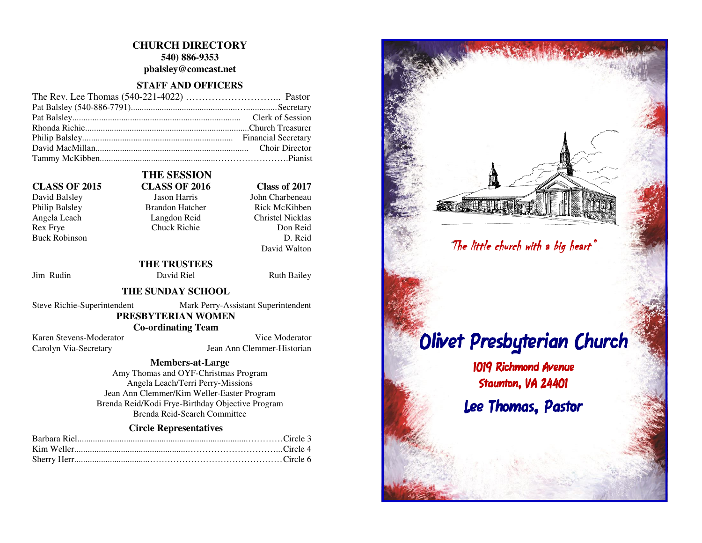# **CHURCH DIRECTORY 540) 886-9353**

**pbalsley@comcast.net** 

## **STAFF AND OFFICERS**

Philip Balsley Brandon Hatcher Buck Robinson

# **THE SESSION CLASS OF 2015 CLASS OF 2016 Class of 2017**

David Balsley **Jason Harris** John Charbeneau **Rick McKibben** Angela Leach Langdon Reid Christel Nicklas<br>
Rex Frye Chuck Richie Don Reid Don Reid D. Reid David Walton

 **THE TRUSTEES** Jim Rudin David Riel Ruth Bailey

Chuck Richie

# **THE SUNDAY SCHOOL**

Steve Richie-Superintendent Mark Perry-Assistant Superintendent  **PRESBYTERIAN WOMEN** 

 **Co-ordinating Team** 

Karen Stevens-Moderator Vice Moderator Carolyn Via-Secretary Jean Ann Clemmer-Historian

## **Members-at-Large**

 Amy Thomas and OYF-Christmas Program Angela Leach/Terri Perry-Missions Jean Ann Clemmer/Kim Weller-Easter Program Brenda Reid/Kodi Frye-Birthday Objective Program Brenda Reid-Search Committee Sherry Herr..................................……………………………………… Circle 6 "The little church with a big heart" The heart" Olivet Presbyterian Church 1019 Richmond Avenue Staunton, VA 24401 Lee Thomas, Pastor

# **Circle Representatives**